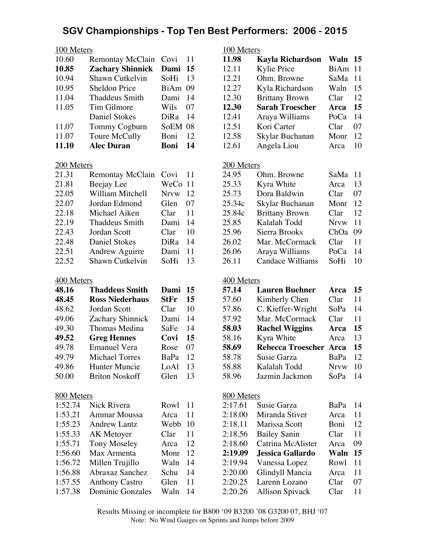| 100 Meters |                         |         |    |  |
|------------|-------------------------|---------|----|--|
| 10.60      | Remontay McClain        | Covi    | 11 |  |
| 10.85      | <b>Zachary Shinnick</b> | Dami 15 |    |  |
| 10.94      | Shawn Cutkelvin         | SoHi    | 13 |  |
| 10.95      | <b>Sheldon Price</b>    | BiAm 09 |    |  |
| 11.04      | Thaddeus Smith          | Dami    | 14 |  |
| 11.05      | Tim Gilmore             | Wils    | 07 |  |
|            | <b>Daniel Stokes</b>    | DiRa    | 14 |  |
| 11.07      | Tommy Cogburn           | SoEM 08 |    |  |
| 11.07      | Toure McCully           | Boni    | 12 |  |
| 11.10      | <b>Alec Duran</b>       | Boni    | 14 |  |

#### 200 Meters

| 21.31 | <b>Remontay McClain</b> | Covi        | 11 |
|-------|-------------------------|-------------|----|
| 21.81 | Beejay Lee              | WeCo 11     |    |
| 22.05 | William Mitchell        | <b>Nrvw</b> | 12 |
| 22.07 | Jordan Edmond           | Glen        | 07 |
| 22.18 | Michael Aiken           | Clar        | 11 |
| 22.19 | <b>Thaddeus Smith</b>   | Dami        | 14 |
| 22.43 | Jordan Scott            | Clar        | 10 |
| 22.48 | Daniel Stokes           | DiRa        | 14 |
| 22.51 | <b>Andrew Aguirre</b>   | Dami        | 11 |
| 22.52 | Shawn Cutkelvin         | SoHi        | 13 |

## 400 Meters

| 48.16 | <b>Thaddeus Smith</b>  | Dami        | 15 |
|-------|------------------------|-------------|----|
| 48.45 | <b>Ross Niederhaus</b> | <b>StFr</b> | 15 |
| 48.62 | Jordan Scott           | Clar        | 10 |
| 49.06 | Zachary Shinnick       | Dami        | 14 |
| 49.30 | Thomas Medina          | SaFe        | 14 |
| 49.52 | <b>Greg Hennes</b>     | Covi        | 15 |
| 49.78 | <b>Emanuel Vera</b>    | Rose        | 07 |
| 49.79 | <b>Michael Torres</b>  | BaPa        | 12 |
| 49.86 | <b>Hunter Muncie</b>   | LoAl        | 13 |
| 50.00 | <b>Briton Noskoff</b>  | Glen        | 13 |

#### 800 Meters

| 1:52.74 | Nick Rivera             | Rowl | 11 |
|---------|-------------------------|------|----|
| 1:53.21 | <b>Ammar Moussa</b>     | Arca | 11 |
| 1:55.23 | <b>Andrew Lantz</b>     | Webb | 10 |
| 1:55.33 | AK Metoyer              | Clar | 11 |
| 1:55.71 | <b>Tony Moseley</b>     | Arca | 12 |
| 1:56.60 | Max Armenta             | Monr | 12 |
| 1:56.72 | Millen Trujillo         | Waln | 14 |
| 1:56.88 | Abraxaz Sanchez         | Schu | 14 |
| 1:57.55 | <b>Anthony Castro</b>   | Glen | 11 |
| 1:57.38 | <b>Dominic Gonzales</b> | Waln | 14 |
|         |                         |      |    |

## 100 Meters

| 11.98 | <b>Kayla Richardson</b> | Waln    | 15 |
|-------|-------------------------|---------|----|
| 12.11 | Kylie Price             | BiAm 11 |    |
| 12.21 | Ohm. Browne             | SaMa 11 |    |
| 12.27 | Kyla Richardson         | Waln    | 15 |
| 12.30 | <b>Brittany Brown</b>   | Clar    | 12 |
| 12.30 | <b>Sarah Troescher</b>  | Arca    | 15 |
| 12.41 | Araya Williams          | PoCa    | 14 |
| 12.51 | Kori Carter             | Clar    | 07 |
| 12.58 | Skylar Buchanan         | Monr    | 12 |
| 12.61 | Angela Liou             | Arca    | 10 |
|       |                         |         |    |

## 200 Meters

| 24.95  | Ohm. Browne           | SaMa        | -11 |
|--------|-----------------------|-------------|-----|
| 25.33  | Kyra White            | Arca        | 13  |
| 25.73  | Dora Baldwin          | Clar        | 07  |
| 25.34c | Skylar Buchanan       | Monr        | 12  |
| 25.84c | <b>Brittany Brown</b> | Clar        | 12  |
| 25.85  | Kalalah Todd          | <b>Nrvw</b> | 11  |
| 25.96  | Sierra Brooks         | ChOa        | 09  |
| 26.02  | Mar. McCormack        | Clar        | 11  |
| 26.06  | Araya Williams        | PoCa        | 14  |
| 26.11  | Candace Williams      | SoHi        | 10  |

## 400 Meters

| 57.14 | <b>Lauren Buehner</b>         | Arca        | 15 |
|-------|-------------------------------|-------------|----|
| 57.60 | Kimberly Chen                 | Clar        | 11 |
| 57.86 | C. Kieffer-Wright             | SoPa        | 14 |
| 57.92 | Mar. McCormack                | Clar        | 11 |
| 58.03 | <b>Rachel Wiggins</b>         | Arca        | 15 |
| 58.16 | Kyra White                    | Arca        | 13 |
| 58.69 | <b>Rebecca Troescher Arca</b> |             | 15 |
| 58.78 | Susie Garza                   | BaPa        | 12 |
| 58.88 | Kalalah Todd                  | <b>Nrvw</b> | 10 |
| 58.96 | Jazmin Jackmon                | SoPa        | 14 |

#### 800 Meters

| 2:17.61 | Susie Garza         | BaPa        | 14 |
|---------|---------------------|-------------|----|
| 2:18.00 | Miranda Stiver      | Arca        | 11 |
| 2:18.11 | Marissa Scott       | Boni        | 12 |
| 2:18.56 | <b>Bailey Sanin</b> | Clar        | 11 |
| 2:18.60 | Catrina McAlister   | Arca        | 09 |
|         |                     |             |    |
| 2:19.09 | Jessica Gallardo    | Waln        | 15 |
| 2:19.94 | Vanessa Lopez       | <b>Rowl</b> | 11 |
| 2:20.00 | Glindyll Mancia     | Arca        | 11 |
| 2:20.25 | Larenn Lozano       | Clar        | 07 |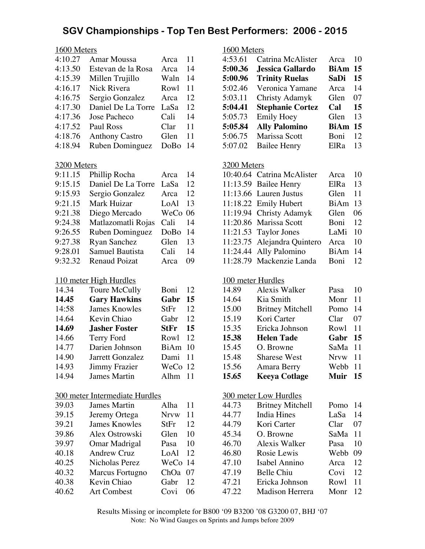#### 1600 Meters

| 4:10.27 | <b>Amar Moussa</b>    | Arca | 11 |
|---------|-----------------------|------|----|
| 4:13.50 | Estevan de la Rosa    | Arca | 14 |
| 4:15.39 | Millen Trujillo       | Waln | 14 |
| 4:16.17 | Nick Rivera           | Rowl | 11 |
| 4:16.75 | Sergio Gonzalez       | Arca | 12 |
| 4:17.30 | Daniel De La Torre    | LaSa | 12 |
| 4:17.36 | Jose Pacheco          | Cali | 14 |
| 4:17.52 | Paul Ross             | Clar | 11 |
| 4:18.76 | <b>Anthony Castro</b> | Glen | 11 |
| 4:18.94 | Ruben Dominguez       | DoBo | 14 |

#### 3200 Meters

| 9:11.15 | Phillip Rocha          | Arca    | 14 |
|---------|------------------------|---------|----|
| 9:15.15 | Daniel De La Torre     | LaSa    | 12 |
| 9:15.93 | Sergio Gonzalez        | Arca    | 12 |
| 9:21.15 | Mark Huizar            | LoAl    | 13 |
| 9:21.38 | Diego Mercado          | WeCo 06 |    |
| 9:24.38 | Matlazomatli Rojas     | Cali    | 14 |
| 9:26.55 | Ruben Dominguez        | DoBo    | 14 |
| 9:27.38 | <b>Ryan Sanchez</b>    | Glen    | 13 |
| 9:28.01 | <b>Samuel Bautista</b> | Cali    | 14 |
| 9:32.32 | <b>Renaud Poizat</b>   | Arca    | 09 |

## 110 meter High Hurdles

| 14.34 | Toure McCully        | Boni        | 12 |
|-------|----------------------|-------------|----|
| 14.45 | <b>Gary Hawkins</b>  | Gabr        | 15 |
| 14:58 | <b>James Knowles</b> | StFr        | 12 |
| 14.64 | Kevin Chiao          | Gabr        | 12 |
| 14.69 | <b>Jasher Foster</b> | <b>StFr</b> | 15 |
| 14.66 | <b>Terry Ford</b>    | Rowl        | 12 |
| 14.77 | Darien Johnson       | BiAm        | 10 |
| 14.90 | Jarrett Gonzalez     | Dami        | 11 |
| 14.93 | <b>Jimmy Frazier</b> | WeCo 12     |    |
| 14.94 | James Martin         | Alhm        | 11 |

## 300 meter Intermediate Hurdles

| 39.03 | <b>James Martin</b>  | Alha        | 11 |
|-------|----------------------|-------------|----|
| 39.15 | Jeremy Ortega        | <b>Nrvw</b> | 11 |
| 39.21 | <b>James Knowles</b> | StFr        | 12 |
| 39.86 | Alex Ostrowski       | Glen        | 10 |
| 39.97 | Omar Madrigal        | Pasa        | 10 |
| 40.18 | <b>Andrew Cruz</b>   | LoAl        | 12 |
| 40.25 | Nicholas Perez       | WeCo        | 14 |
| 40.32 | Marcus Fortugno      | ChOa        | 07 |
| 40.38 | Kevin Chiao          | Gabr        | 12 |
| 40.62 | <b>Art Combest</b>   | Covi        | 06 |

## 1600 Meters

| 4:53.61 | Catrina McAlister       | Arca        | 10 |
|---------|-------------------------|-------------|----|
| 5:00.36 | <b>Jessica Gallardo</b> | BiAm 15     |    |
| 5:00.96 | <b>Trinity Ruelas</b>   | <b>SaDi</b> | 15 |
| 5:02.46 | Veronica Yamane         | Arca        | 14 |
| 5:03.11 | Christy Adamyk          | Glen        | 07 |
| 5:04.41 | <b>Stephanie Cortez</b> | Cal         | 15 |
| 5:05.73 | <b>Emily Hoey</b>       | Glen        | 13 |
| 5:05.84 | <b>Ally Palomino</b>    | <b>BiAm</b> | 15 |
| 5:06.75 | Marissa Scott           | Boni        | 12 |
| 5:07.02 | <b>Bailee Henry</b>     | ElRa        | 13 |

#### 3200 Meters

| 10:40.64 Catrina McAlister  | Arca        | 10  |
|-----------------------------|-------------|-----|
| 11:13.59 Bailee Henry       | ElRa        | 13  |
| 11:13.66 Lauren Justus      | Glen        | 11  |
| 11:18.22 Emily Hubert       | BiAm        | -13 |
| 11:19.94 Christy Adamyk     | Glen        | 06  |
| 11:20.86 Marissa Scott      | Boni        | 12  |
| $11:21.53$ Taylor Jones     | LaMi        | 10  |
| 11:23.75 Alejandra Quintero | Arca        | 10  |
| 11:24.44 Ally Palomino      | BiAm 14     |     |
| 11:28.79 Mackenzie Landa    | <b>Boni</b> | 12  |

#### 100 meter Hurdles

| 14.89 | Alexis Walker           | Pasa        | 10 |
|-------|-------------------------|-------------|----|
| 14.64 | Kia Smith               | Monr        | 11 |
| 15.00 | <b>Britney Mitchell</b> | Pomo 14     |    |
| 15.19 | Kori Carter             | Clar        | 07 |
| 15.35 | Ericka Johnson          | Rowl        | 11 |
| 15.38 | <b>Helen Tade</b>       | Gabr        | 15 |
| 15.45 | O. Browne               | SaMa 11     |    |
|       |                         |             |    |
| 15.48 | <b>Sharese West</b>     | <b>Nrvw</b> | 11 |
| 15.56 | Amara Berry             | Webb 11     |    |
| 15.65 | <b>Keeya Cotlage</b>    | Muir        | 15 |

#### 300 meter Low Hurdles

| 44.73 | <b>Britney Mitchell</b> | Pomo    | 14 |
|-------|-------------------------|---------|----|
| 44.77 | <b>India Hines</b>      | LaSa    | 14 |
| 44.79 | Kori Carter             | Clar    | 07 |
| 45.34 | O. Browne               | SaMa 11 |    |
| 46.70 | Alexis Walker           | Pasa    | 10 |
| 46.80 | Rosie Lewis             | Webb    | 09 |
| 47.10 | Isabel Annino           | Arca    | 12 |
| 47.19 | <b>Belle Chiu</b>       | Covi    | 12 |
| 47.21 | Ericka Johnson          | Rowl    | 11 |
| 47.22 | Madison Herrera         | Monr    | 12 |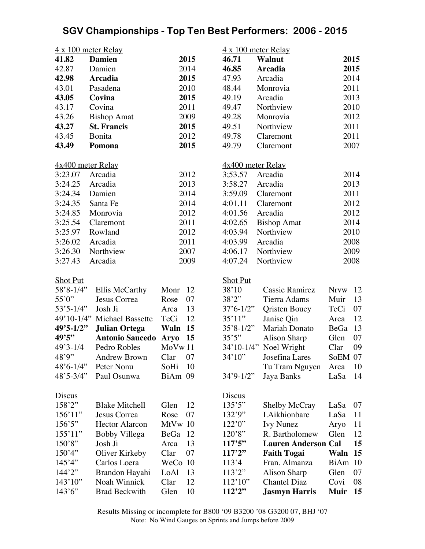|                                        | 4 x 100 meter Relay                                 |                             | $4 \times 100$ meter Relay |                                               |              |          |
|----------------------------------------|-----------------------------------------------------|-----------------------------|----------------------------|-----------------------------------------------|--------------|----------|
| 41.82                                  | <b>Damien</b>                                       | 2015                        | 46.71                      | <b>Walnut</b>                                 |              | 2015     |
| 42.87                                  | Damien                                              | 2014                        | 46.85                      | <b>Arcadia</b>                                |              | 2015     |
| 42.98                                  | <b>Arcadia</b>                                      | 2015                        | 47.93                      | Arcadia                                       |              | 2014     |
| 43.01                                  | Pasadena                                            | 2010                        | 48.44                      | Monrovia                                      |              | 2011     |
| 43.05                                  | Covina                                              | 2015                        | 49.19                      | Arcadia                                       |              | 2013     |
| 43.17                                  | Covina                                              | 2011                        | 49.47                      | Northview                                     |              | 2010     |
| 43.26                                  | <b>Bishop Amat</b>                                  | 2009                        | 49.28                      | Monrovia                                      |              | 2012     |
| 43.27                                  | <b>St. Francis</b>                                  | 2015                        | 49.51                      | Northview                                     |              | 2011     |
| 43.45                                  | Bonita                                              | 2012                        | 49.78                      | Claremont                                     |              | 2011     |
| 43.49                                  | Pomona                                              | 2015                        | 49.79                      | Claremont                                     |              | 2007     |
|                                        |                                                     |                             |                            |                                               |              |          |
| 4x400 meter Relay                      |                                                     |                             | 4x400 meter Relay          |                                               |              |          |
| 3:23.07                                | Arcadia                                             | 2012                        | 3:53.57                    | Arcadia                                       |              | 2014     |
| 3:24.25                                | Arcadia                                             | 2013                        | 3:58.27                    | Arcadia                                       |              | 2013     |
| 3:24.34                                | Damien                                              | 2014                        | 3:59.09                    | Claremont                                     |              | 2011     |
| 3:24.35                                | Santa Fe                                            | 2014                        | 4:01.11                    | Claremont                                     |              | 2012     |
| 3:24.85                                | Monrovia                                            | 2012                        | 4:01.56                    | Arcadia                                       |              | 2012     |
| 3:25.54                                | Claremont                                           | 2011                        | 4:02.65                    | <b>Bishop Amat</b>                            |              | 2014     |
| 3:25.97                                | Rowland                                             | 2012                        | 4:03.94                    | Northview                                     |              | 2010     |
| 3:26.02                                | Arcadia                                             | 2011                        | 4:03.99                    | Arcadia                                       |              | 2008     |
| 3:26.30                                | Northview                                           | 2007                        | 4:06.17                    | Northview                                     |              | 2009     |
| 3:27.43                                | Arcadia                                             | 2009                        | 4:07.24                    | Northview                                     |              | 2008     |
|                                        |                                                     |                             |                            |                                               |              |          |
| <b>Shot Put</b>                        |                                                     |                             | <b>Shot Put</b>            |                                               |              |          |
| $58'8 - 1/4"$                          | Ellis McCarthy                                      | 12<br>Monr                  | 38'10                      | <b>Cassie Ramirez</b>                         | <b>Nrvw</b>  | 12       |
| 55'0"                                  | Jesus Correa                                        | 07<br>Rose                  | 38'2''                     | Tierra Adams                                  | Muir         | 13       |
| $53'5 - 1/4"$                          | Josh Ji                                             | 13<br>Arca<br>12            | $37'6 - 1/2''$             | <b>Qristen Bouey</b>                          | TeCi         | 07<br>12 |
| $49'5 - 1/2"$                          | 49'10-1/4" Michael Bassette<br><b>Julian Ortega</b> | TeCi<br>Waln 15             | 35'11"<br>$35'8 - 1/2"$    | Janise Qin<br><b>Mariah Donato</b>            | Arca         | 13       |
| 49'5"                                  | <b>Antonio Saucedo</b>                              |                             | 35'5''                     |                                               | BeGa         | 07       |
| $49'3 - 1/4$                           | Pedro Robles                                        | 15<br><b>Aryo</b><br>MoVw11 |                            | <b>Alison Sharp</b><br>34'10-1/4" Noel Wright | Glen<br>Clar | 09       |
| 48'9"                                  |                                                     |                             | 34'10''                    |                                               |              |          |
|                                        | Andrew Brown                                        | Clar 07                     |                            | Josefina Lares                                | SoEM 07      |          |
| $48^{\circ}6 - 1/4$ "<br>$48'5 - 3/4"$ | Peter Nonu<br>Paul Osunwa                           | SoHi<br>10<br>BiAm 09       | $34'9 - 1/2''$             | Tu Tram Nguyen                                | Arca         | 10<br>14 |
|                                        |                                                     |                             |                            | Jaya Banks                                    | LaSa         |          |
| <u>Discus</u>                          |                                                     |                             | <b>Discus</b>              |                                               |              |          |
| 158'2"                                 | <b>Blake Mitchell</b>                               | 12<br>Glen                  | 135'5''                    | Shelby McCray                                 | LaSa         | 07       |
| 156'11"                                | Jesus Correa                                        | 07<br>Rose                  | 132'9''                    | I.Aikhionbare                                 | LaSa         | 11       |
| 156'5''                                | <b>Hector Alarcon</b>                               | MtVw 10                     | 122'0''                    | <b>Ivy Nunez</b>                              | Aryo         | 11       |
| 155'11"                                | Bobby Villega                                       | BeGa<br>12                  | 120'8''                    | R. Bartholomew                                | Glen         | 12       |
| 150'8"                                 | Josh Ji                                             | 13<br>Arca                  | 117'5''                    | <b>Lauren Anderson Cal</b>                    |              | 15       |
| 150'4"                                 | Oliver Kirkeby                                      | 07<br>Clar                  | 117'2''                    | <b>Faith Togai</b>                            | Waln         | 15       |
| 145'4"                                 | Carlos Loera                                        | WeCo 10                     | 113'4                      | Fran. Almanza                                 | <b>BiAm</b>  | 10       |
| 144'2''                                | Brandon Hayahi                                      | LoAl<br>13                  | 113'2"                     | <b>Alison Sharp</b>                           | Glen         | 07       |
| 143'10''                               | Noah Winnick                                        | 12<br>Clar                  | 112'10''                   | <b>Chantel Diaz</b>                           | Covi         | 08       |
| 143'6''                                | <b>Brad Beckwith</b>                                | Glen<br>10                  | 112'2"                     | <b>Jasmyn Harris</b>                          | <b>Muir</b>  | 15       |